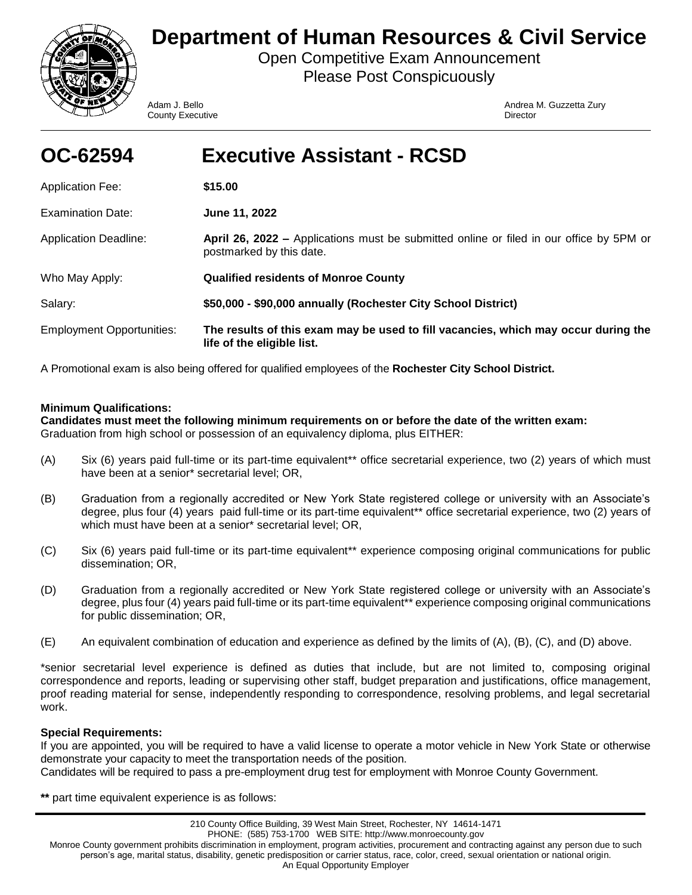

# **Department of Human Resources & Civil Service**

Open Competitive Exam Announcement Please Post Conspicuously

**County Executive Director** Director

Adam J. Bello **Andrea M. Guzzetta Zury** Andrea M. Guzzetta Zury

| OC-62594                         | <b>Executive Assistant - RCSD</b>                                                                                   |
|----------------------------------|---------------------------------------------------------------------------------------------------------------------|
| <b>Application Fee:</b>          | \$15.00                                                                                                             |
| <b>Examination Date:</b>         | June 11, 2022                                                                                                       |
| <b>Application Deadline:</b>     | April 26, 2022 – Applications must be submitted online or filed in our office by 5PM or<br>postmarked by this date. |
| Who May Apply:                   | <b>Qualified residents of Monroe County</b>                                                                         |
| Salary:                          | \$50,000 - \$90,000 annually (Rochester City School District)                                                       |
| <b>Employment Opportunities:</b> | The results of this exam may be used to fill vacancies, which may occur during the<br>life of the eligible list.    |

A Promotional exam is also being offered for qualified employees of the **Rochester City School District.**

# **Minimum Qualifications:**

**Candidates must meet the following minimum requirements on or before the date of the written exam:**  Graduation from high school or possession of an equivalency diploma, plus EITHER:

- (A) Six (6) years paid full-time or its part-time equivalent\*\* office secretarial experience, two (2) years of which must have been at a senior\* secretarial level; OR,
- (B) Graduation from a regionally accredited or New York State registered college or university with an Associate's degree, plus four (4) years paid full-time or its part-time equivalent\*\* office secretarial experience, two (2) years of which must have been at a senior\* secretarial level; OR,
- (C) Six (6) years paid full-time or its part-time equivalent\*\* experience composing original communications for public dissemination; OR,
- (D) Graduation from a regionally accredited or New York State registered college or university with an Associate's degree, plus four (4) years paid full-time or its part-time equivalent\*\* experience composing original communications for public dissemination; OR,
- (E) An equivalent combination of education and experience as defined by the limits of (A), (B), (C), and (D) above.

\*senior secretarial level experience is defined as duties that include, but are not limited to, composing original correspondence and reports, leading or supervising other staff, budget preparation and justifications, office management, proof reading material for sense, independently responding to correspondence, resolving problems, and legal secretarial work.

# **Special Requirements:**

If you are appointed, you will be required to have a valid license to operate a motor vehicle in New York State or otherwise demonstrate your capacity to meet the transportation needs of the position. Candidates will be required to pass a pre-employment drug test for employment with Monroe County Government.

**\*\*** part time equivalent experience is as follows: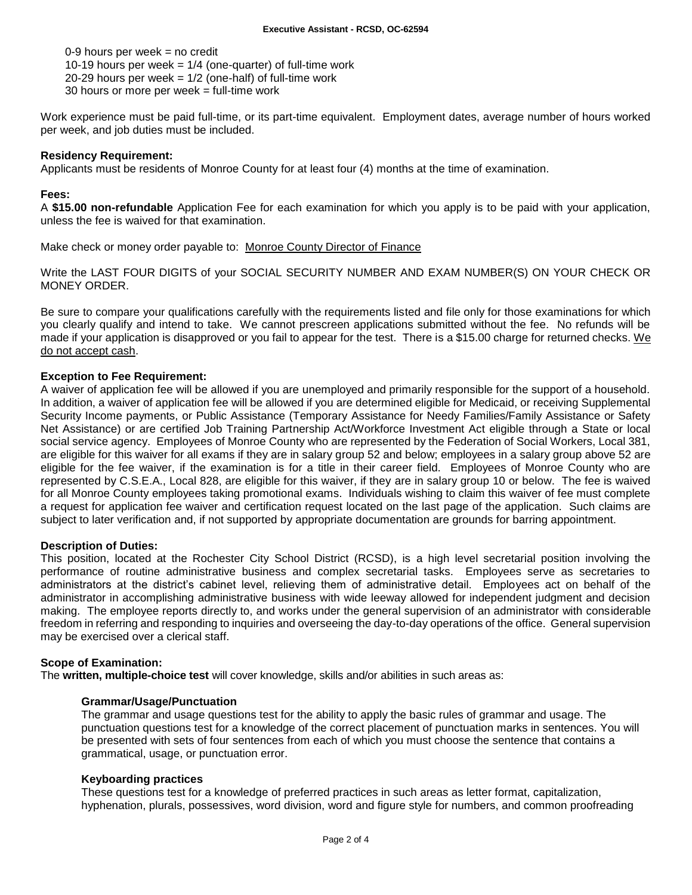0-9 hours per week = no credit 10-19 hours per week  $= 1/4$  (one-quarter) of full-time work 20-29 hours per week  $= 1/2$  (one-half) of full-time work 30 hours or more per week = full-time work

Work experience must be paid full-time, or its part-time equivalent. Employment dates, average number of hours worked per week, and job duties must be included.

## **Residency Requirement:**

Applicants must be residents of Monroe County for at least four (4) months at the time of examination.

## **Fees:**

A **\$15.00 non-refundable** Application Fee for each examination for which you apply is to be paid with your application, unless the fee is waived for that examination.

Make check or money order payable to: Monroe County Director of Finance

Write the LAST FOUR DIGITS of your SOCIAL SECURITY NUMBER AND EXAM NUMBER(S) ON YOUR CHECK OR MONEY ORDER.

Be sure to compare your qualifications carefully with the requirements listed and file only for those examinations for which you clearly qualify and intend to take. We cannot prescreen applications submitted without the fee. No refunds will be made if your application is disapproved or you fail to appear for the test. There is a \$15.00 charge for returned checks. We do not accept cash.

## **Exception to Fee Requirement:**

A waiver of application fee will be allowed if you are unemployed and primarily responsible for the support of a household. In addition, a waiver of application fee will be allowed if you are determined eligible for Medicaid, or receiving Supplemental Security Income payments, or Public Assistance (Temporary Assistance for Needy Families/Family Assistance or Safety Net Assistance) or are certified Job Training Partnership Act/Workforce Investment Act eligible through a State or local social service agency. Employees of Monroe County who are represented by the Federation of Social Workers, Local 381, are eligible for this waiver for all exams if they are in salary group 52 and below; employees in a salary group above 52 are eligible for the fee waiver, if the examination is for a title in their career field. Employees of Monroe County who are represented by C.S.E.A., Local 828, are eligible for this waiver, if they are in salary group 10 or below. The fee is waived for all Monroe County employees taking promotional exams. Individuals wishing to claim this waiver of fee must complete a request for application fee waiver and certification request located on the last page of the application. Such claims are subject to later verification and, if not supported by appropriate documentation are grounds for barring appointment.

## **Description of Duties:**

This position, located at the Rochester City School District (RCSD), is a high level secretarial position involving the performance of routine administrative business and complex secretarial tasks. Employees serve as secretaries to administrators at the district's cabinet level, relieving them of administrative detail. Employees act on behalf of the administrator in accomplishing administrative business with wide leeway allowed for independent judgment and decision making. The employee reports directly to, and works under the general supervision of an administrator with considerable freedom in referring and responding to inquiries and overseeing the day-to-day operations of the office. General supervision may be exercised over a clerical staff.

## **Scope of Examination:**

The **written, multiple-choice test** will cover knowledge, skills and/or abilities in such areas as:

## **Grammar/Usage/Punctuation**

The grammar and usage questions test for the ability to apply the basic rules of grammar and usage. The punctuation questions test for a knowledge of the correct placement of punctuation marks in sentences. You will be presented with sets of four sentences from each of which you must choose the sentence that contains a grammatical, usage, or punctuation error.

## **Keyboarding practices**

These questions test for a knowledge of preferred practices in such areas as letter format, capitalization, hyphenation, plurals, possessives, word division, word and figure style for numbers, and common proofreading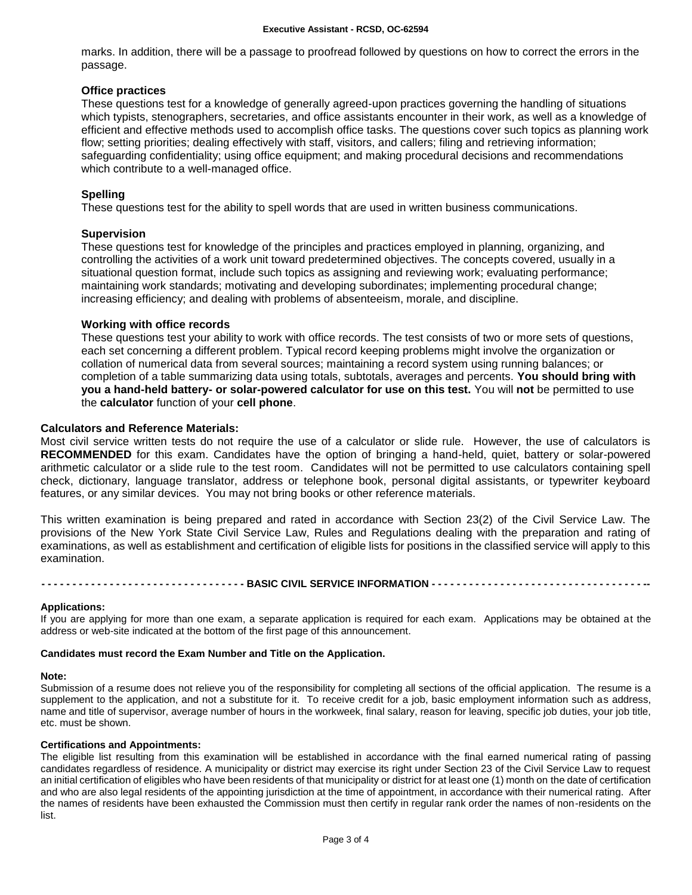marks. In addition, there will be a passage to proofread followed by questions on how to correct the errors in the passage.

## **Office practices**

These questions test for a knowledge of generally agreed-upon practices governing the handling of situations which typists, stenographers, secretaries, and office assistants encounter in their work, as well as a knowledge of efficient and effective methods used to accomplish office tasks. The questions cover such topics as planning work flow; setting priorities; dealing effectively with staff, visitors, and callers; filing and retrieving information; safeguarding confidentiality; using office equipment; and making procedural decisions and recommendations which contribute to a well-managed office.

## **Spelling**

These questions test for the ability to spell words that are used in written business communications.

## **Supervision**

These questions test for knowledge of the principles and practices employed in planning, organizing, and controlling the activities of a work unit toward predetermined objectives. The concepts covered, usually in a situational question format, include such topics as assigning and reviewing work; evaluating performance; maintaining work standards; motivating and developing subordinates; implementing procedural change; increasing efficiency; and dealing with problems of absenteeism, morale, and discipline.

## **Working with office records**

These questions test your ability to work with office records. The test consists of two or more sets of questions, each set concerning a different problem. Typical record keeping problems might involve the organization or collation of numerical data from several sources; maintaining a record system using running balances; or completion of a table summarizing data using totals, subtotals, averages and percents. **You should bring with you a hand-held battery- or solar-powered calculator for use on this test.** You will **not** be permitted to use the **calculator** function of your **cell phone**.

## **Calculators and Reference Materials:**

Most civil service written tests do not require the use of a calculator or slide rule. However, the use of calculators is **RECOMMENDED** for this exam. Candidates have the option of bringing a hand-held, quiet, battery or solar-powered arithmetic calculator or a slide rule to the test room. Candidates will not be permitted to use calculators containing spell check, dictionary, language translator, address or telephone book, personal digital assistants, or typewriter keyboard features, or any similar devices. You may not bring books or other reference materials.

This written examination is being prepared and rated in accordance with Section 23(2) of the Civil Service Law. The provisions of the New York State Civil Service Law, Rules and Regulations dealing with the preparation and rating of examinations, as well as establishment and certification of eligible lists for positions in the classified service will apply to this examination.

----------------- BASIC CIVIL SERVICE INFORMATION -----------------------------------

## **Applications:**

If you are applying for more than one exam, a separate application is required for each exam. Applications may be obtained at the address or web-site indicated at the bottom of the first page of this announcement.

## **Candidates must record the Exam Number and Title on the Application.**

#### **Note:**

Submission of a resume does not relieve you of the responsibility for completing all sections of the official application. The resume is a supplement to the application, and not a substitute for it. To receive credit for a job, basic employment information such as address, name and title of supervisor, average number of hours in the workweek, final salary, reason for leaving, specific job duties, your job title, etc. must be shown.

#### **Certifications and Appointments:**

The eligible list resulting from this examination will be established in accordance with the final earned numerical rating of passing candidates regardless of residence. A municipality or district may exercise its right under Section 23 of the Civil Service Law to request an initial certification of eligibles who have been residents of that municipality or district for at least one (1) month on the date of certification and who are also legal residents of the appointing jurisdiction at the time of appointment, in accordance with their numerical rating. After the names of residents have been exhausted the Commission must then certify in regular rank order the names of non-residents on the list.